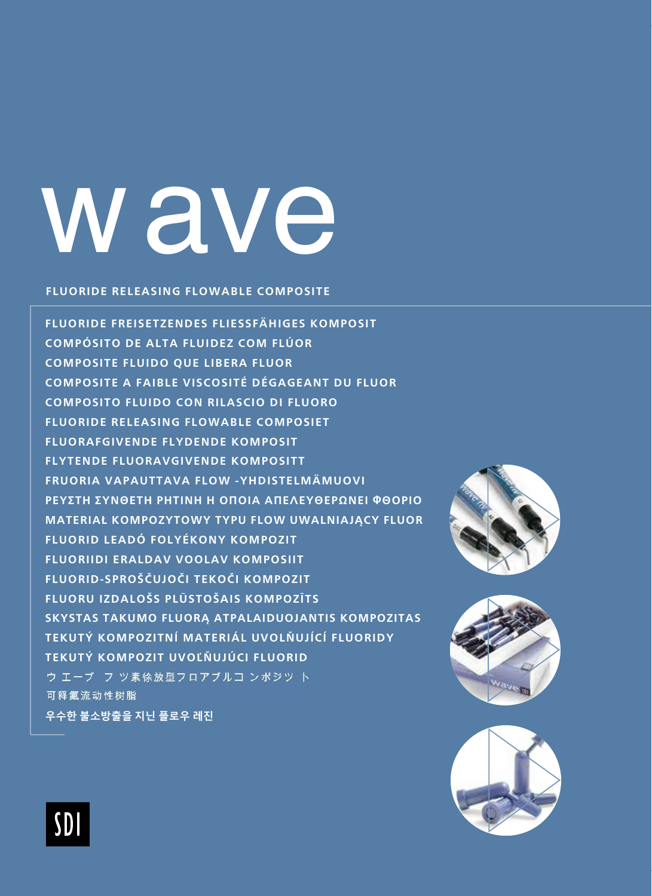## **Wave**

#### **FLUORIDE RELEASING FLOWABLE COMPOSITE**

FLUORIDE FREISETZENDES FLIESSFÄHIGES KOMPOSIT COMPÓSITO DE ALTA FLUIDEZ COM FLÚOR **COMPOSITE FLUIDO QUE LIBERA FLUOR** COMPOSITE A FAIBLE VISCOSITÉ DÉGAGEANT DU FLUOR COMPOSITO FLUIDO CON RILASCIO DI FLUORO **FLUORIDE RELEASING FLOWABLE COMPOSIET FLUORAFGIVENDE FLYDENDE KOMPOSIT FLYTENDE FLUORAVGIVENDE KOMPOSITT** FRUORIA VAPAUTTAVA FLOW -YHDISTELMÄMUOVI ΡΕΥΣΤΗ ΣΥΝΘΕΤΗ ΡΗΤΙΝΗ Η ΟΠΟΙΑ ΑΠΕΛΕΥΘΕΡΩΝΕΙ ΦΘΟΡΙΟ **MATERIAŁ KOMPOZYTOWY TYPU FLOW UWALNIAJACY FLUOR** FLUORID LEADÓ FOLYÉKONY KOMPOZIT **FLUORIIDI ERALDAV VOOLAV KOMPOSIIT** FLUORID-SPROŠČUJOČI TEKOČI KOMPOZIT FLUORU IZDALOŠS PLŪSTOŠAIS KOMPOZĪTS SKYSTAS TAKUMO FLUORA ATPALAIDUOJANTIS KOMPOZITAS TEKUTÝ KOMPOZITNÍ MATERIÁL UVOLŇUJÍCÍ FLUORIDY TEKUTÝ KOMPOZIT UVOĽŇUJÚCI FLUORID ウ エーブ フ ツ素徐放型フロアブルコ ンポジツ ト 可释氟流动性树脂 우수한 불소방출을 지닌 플로우 레진







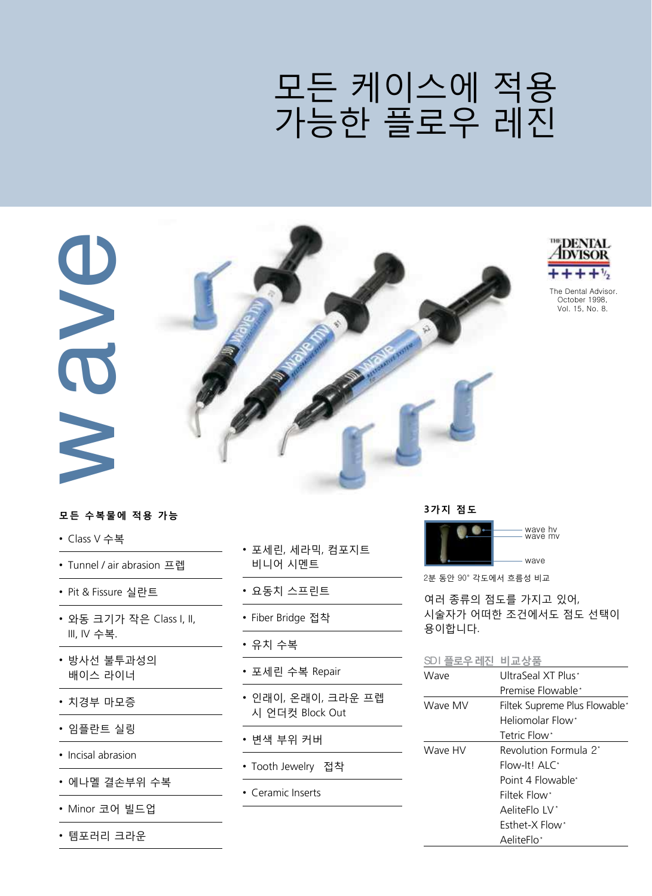### 모든 케이스에 적용 가능한 플로우 레진



#### 모든 수복물에 적용 가능

- Class V 수복
- Tunnel / air abrasion 프렙
- Pit & Fissure 실란트
- 와동 크기가 작은 Class I, II, III, IV 수복.
- 방사선 불투과성의 배이스 라이너
- 치경부 마모증
- 임플란트 실링
- Incisal abrasion
- 에나멜 결손부위 수복
- Minor 코어 빌드업
- 템포러리 크라운
- 포세린, 세라믹, 컴포지트 비니어 시멘트
- 요동치 스프린트
- Fiber Bridge 접착
- 유치 수복
- 포세린 수복 Repair
- 인래이, 온래이, 크라운 프렙 시 언더컷 Block Out
- 변색 부위 커버
- Tooth Jewelry 접착
- Ceramic Inserts

3가지 점도



2분 동안 90° 각도에서 흐름성 비교

여러 종류의 점도를 가지고 있어, 시술자가 어떠한 조건에서도 점도 선택이 용이합니다.

SDI 플로우레진 비교상품

| Wave    | UltraSeal XT Plus*            |  |
|---------|-------------------------------|--|
|         | Premise Flowable*             |  |
| Wave MV | Filtek Supreme Plus Flowable* |  |
|         | Heliomolar Flow*              |  |
|         | Tetric Flow*                  |  |
| Wave HV | Revolution Formula 2*         |  |
|         | Flow-It! ALC*                 |  |
|         | Point 4 Flowable*             |  |
|         | Filtek Flow*                  |  |
|         | AeliteFlo IV <sup>*</sup>     |  |
|         | <b>Fsthet-X Flow*</b>         |  |
|         | AeliteFlo*                    |  |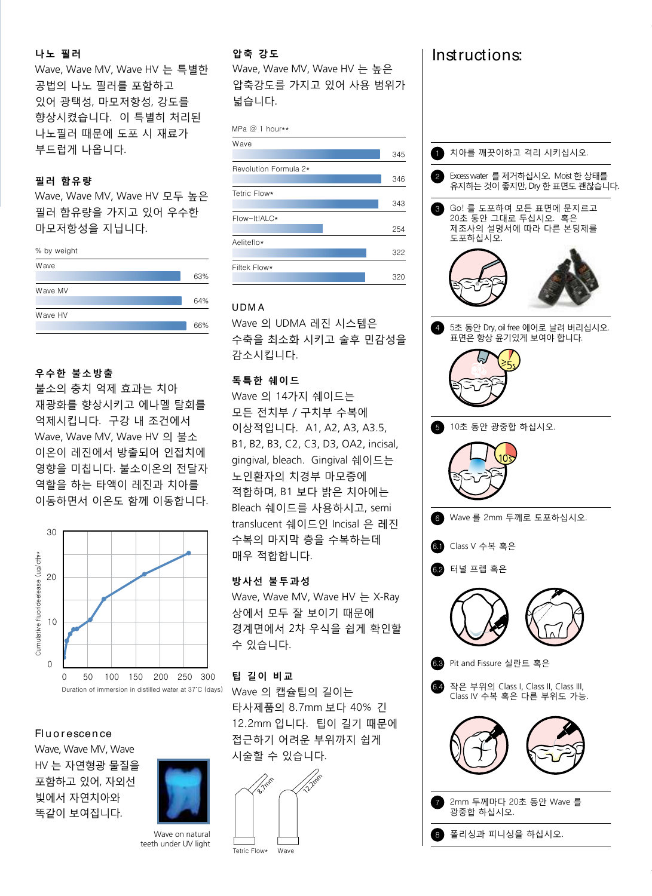#### 나노 필러 Stae

향상시켰습니다. 이 특별히 처리된 나노필러 때문에 도포 시 재료가 Wave, Wave MV, Wave HV 는 특별한 32.4 공법의 나노 필러를 포함하고 있어 광택성, 마모저항성, 강도를 부드럽게 나옵니다. Optibond Solo\*

#### 필러 함유량

343 Wave, Wave MV, Wave HV 모두 높은 필러 함유량을 가지고 있어 우수한 마모저항성을 지닙니다.



#### 우수한 불소방출

불소의 충치 억제 효과는 치아 재광화를 향상시키고 에나멜 탈회를 Tetric Flow\* ...ㅎ ... ㅎㅎ . . .<br>억제시킵니다. 구강 내 조건에서 Wave, Wave MV, Wave HV 의 불소 이온이 레진에서 방출되어 인접치에 44% 영향을 미칩니다. 불소이온의 전달자 역할을 하는 타액이 레진과 치아를 이동하면서 이온도 함께 이동합니다. 4세시십니  $A \cap \mathbb{R}$ 



#### **Fluorescence**

Wave, Wave MV, Wave HV 는 자연형광 물질을 포함하고 있어, 자외선 빛에서 자연치아와 똑같이 보여집니다.



Wave on natural teeth under UV light

#### 압축 강도

Wave, Wave MV, Wave HV 는 높유 압축강도를 가지고 있어 사용 범위가 넓습니다.

#### MPa @ 1 hour\*\*

| Wave                  |     |
|-----------------------|-----|
|                       | 345 |
| Revolution Formula 2* |     |
|                       | 346 |
| Tetric Flow*          |     |
|                       | 343 |
| Flow-It!ALC*          |     |
|                       | 254 |
| Aeliteflo*            |     |
|                       | 322 |
| Filtek Flow*          |     |
|                       | 320 |

#### UDM A

Wave 의 UDMA 레진 시스템은 수축을 최소화 시키고 술후 민감성을 감소시킵니다.  $\frac{1}{2}$  filler  $\overline{4}$ 

#### 독특한 쉐이드

Wave 의 14가지 쉐이드는 모든 전치부 / 구치부 수복에 이상적입니다. A1, A2, A3, A3.5, B1, B2, B3, C2, C3, D3, OA2, incisal, gingival, bleach. Gingival 쉐이드는 。。<br>노인환자의 치경부 마모증에 적합하며, B1 보다 밝은 치아에는 Bleach 쉐이드를 사용하시고, semi translucent 쉐이드인 Incisal 은 레진 수복의 마지막 층을 수복하는데 매우 적합합니다. YO TE' ᆂᆮᆋᄸ

#### 방사선 불투과성 20

Wave, Wave MV, Wave HV 는 X-Ray 상에서 모두 잘 보이기 때문에 경계면에서 2차 우식을 쉽게 확인할 10 수 있습니다.

#### 팁 길이 비교 0

Wave 의 캡슐팁의 길이는 타사제품의 8.7mm 보다 40% 긴 12.2mm 입니다. 팁이 길기 때문에 접근하기 어려운 부위까지 쉽게 시술할 수 있습니다. Duration of immersion in distilled water at 37˚C (days)





Instruct ons:

-

MPa @ 1 hour